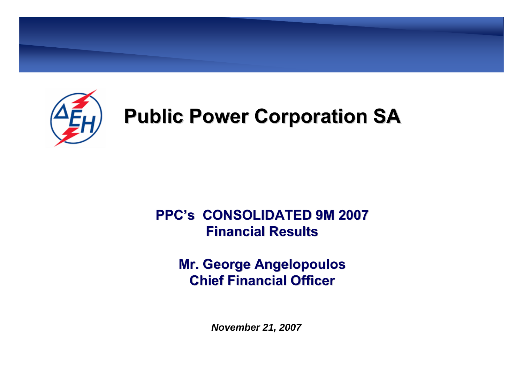

# **Public Power Corporation SA Public Power Corporation SA**

### **PPC's CONSOLIDATED 9M 2007 CONSOLIDATED 9M 2007Financial Results Financial Results**

#### **Mr. George Angelopoulos Mr. George Angelopoulos Chief Financial Officer Chief Financial Officer**

*November 21, 2007*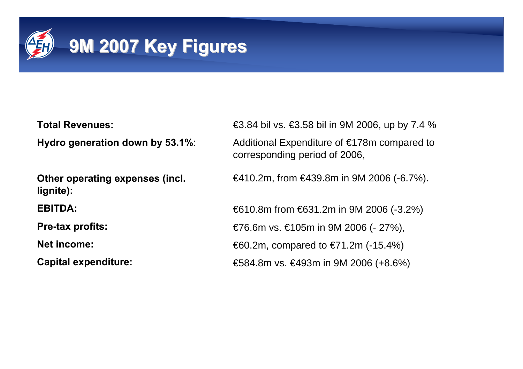

**Total Revenues:**

**Hydro generation down by 53.1%**:

**Other operating expenses (incl. lignite):**

**EBITDA:**

**Pre-tax profits:**

**Net income:**

**Capital expenditure:**

 $€3.84$  bil vs.  $€3.58$  bil in 9M 2006, up by 7.4 % Additional Expenditure of €178m compared to corresponding period of 2006,

€410.2m, from €439.8m in 9M 2006 (-6.7%).

€610.8m from €631.2m in 9M 2006 (-3.2%) €76.6m vs. €105m in 9M 2006 (- 27%), €60.2m, compared to €71.2m (-15.4%) €584.8m vs. €493m in 9M 2006 (+8.6%)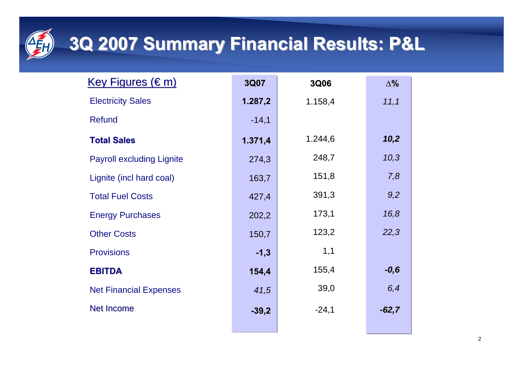# **3Q 2007 Summary Financial Results: P&L 3Q 2007 Summary Financial Results: P&L**

| <u>Key Figures (€m)</u>          | 3Q07    | 3Q06    | $\Delta%$ |
|----------------------------------|---------|---------|-----------|
| <b>Electricity Sales</b>         | 1.287,2 | 1.158,4 | 11,1      |
| <b>Refund</b>                    | $-14,1$ |         |           |
| <b>Total Sales</b>               | 1.371,4 | 1.244,6 | 10,2      |
| <b>Payroll excluding Lignite</b> | 274,3   | 248,7   | 10,3      |
| Lignite (incl hard coal)         | 163,7   | 151,8   | 7,8       |
| <b>Total Fuel Costs</b>          | 427,4   | 391,3   | 9,2       |
| <b>Energy Purchases</b>          | 202,2   | 173,1   | 16,8      |
| <b>Other Costs</b>               | 150,7   | 123,2   | 22,3      |
| <b>Provisions</b>                | $-1,3$  | 1,1     |           |
| <b>EBITDA</b>                    | 154,4   | 155,4   | $-0,6$    |
| <b>Net Financial Expenses</b>    | 41,5    | 39,0    | 6,4       |
| <b>Net Income</b>                | $-39,2$ | $-24,1$ | $-62,7$   |
|                                  |         |         |           |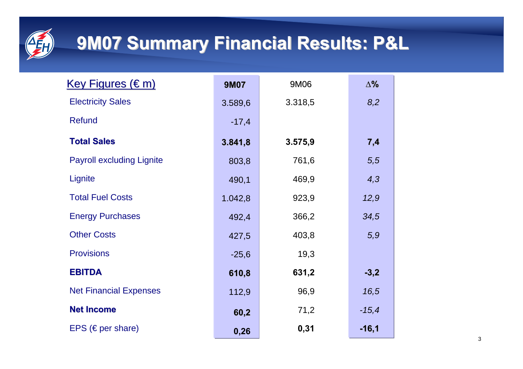

## **9M07 Summary Financial Results: P&L 9M07 Summary Financial Results: P&L**

| <u>Key Figures (€m)</u>          | <b>9M07</b> | 9M06    | $\Delta\%$ |
|----------------------------------|-------------|---------|------------|
| <b>Electricity Sales</b>         | 3.589,6     | 3.318,5 | 8,2        |
| <b>Refund</b>                    | $-17,4$     |         |            |
| <b>Total Sales</b>               | 3.841,8     | 3.575,9 | 7,4        |
| <b>Payroll excluding Lignite</b> | 803,8       | 761,6   | 5,5        |
| Lignite                          | 490,1       | 469,9   | 4,3        |
| <b>Total Fuel Costs</b>          | 1.042,8     | 923,9   | 12,9       |
| <b>Energy Purchases</b>          | 492,4       | 366,2   | 34,5       |
| <b>Other Costs</b>               | 427,5       | 403,8   | 5,9        |
| <b>Provisions</b>                | $-25,6$     | 19,3    |            |
| <b>EBITDA</b>                    | 610,8       | 631,2   | $-3,2$     |
| <b>Net Financial Expenses</b>    | 112,9       | 96,9    | 16,5       |
| <b>Net Income</b>                | 60,2        | 71,2    | $-15,4$    |
| EPS ( $\in$ per share)           | 0,26        | 0,31    | $-16,1$    |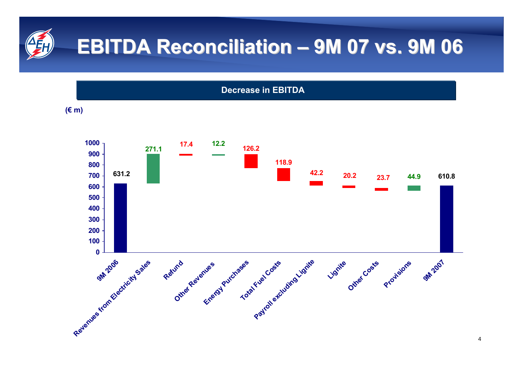#### **EBITDA Reconciliation 9M 07 vs. 9M 06 9M 07 vs. 9M 06**

**Decrease in EBITD A**

**(€ m)**

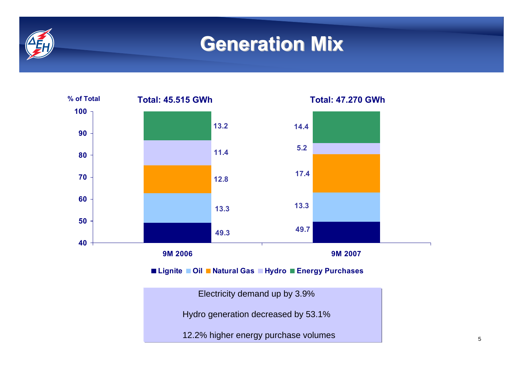## **Generation Mix Generation Mix**



12.2% higher energy purchase volumes